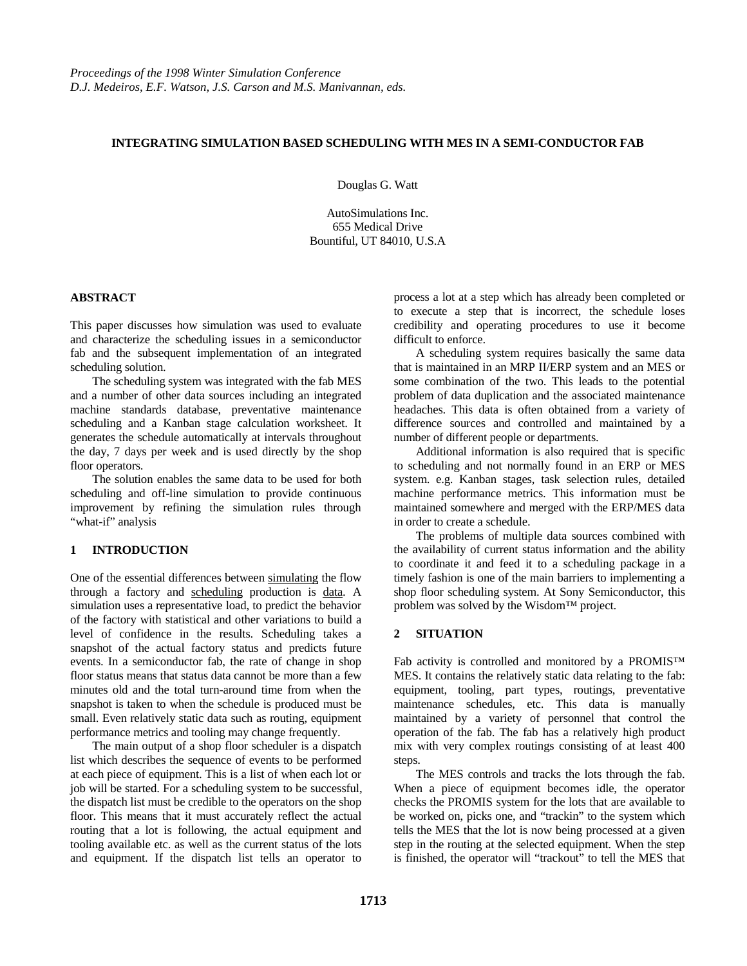### **INTEGRATING SIMULATION BASED SCHEDULING WITH MES IN A SEMI-CONDUCTOR FAB**

Douglas G. Watt

AutoSimulations Inc. 655 Medical Drive Bountiful, UT 84010, U.S.A

#### **ABSTRACT**

This paper discusses how simulation was used to evaluate and characterize the scheduling issues in a semiconductor fab and the subsequent implementation of an integrated scheduling solution.

The scheduling system was integrated with the fab MES and a number of other data sources including an integrated machine standards database, preventative maintenance scheduling and a Kanban stage calculation worksheet. It generates the schedule automatically at intervals throughout the day, 7 days per week and is used directly by the shop floor operators.

The solution enables the same data to be used for both scheduling and off-line simulation to provide continuous improvement by refining the simulation rules through "what-if" analysis

#### **1 INTRODUCTION**

One of the essential differences between simulating the flow through a factory and scheduling production is data. A simulation uses a representative load, to predict the behavior of the factory with statistical and other variations to build a level of confidence in the results. Scheduling takes a snapshot of the actual factory status and predicts future events. In a semiconductor fab, the rate of change in shop floor status means that status data cannot be more than a few minutes old and the total turn-around time from when the snapshot is taken to when the schedule is produced must be small. Even relatively static data such as routing, equipment performance metrics and tooling may change frequently.

The main output of a shop floor scheduler is a dispatch list which describes the sequence of events to be performed at each piece of equipment. This is a list of when each lot or job will be started. For a scheduling system to be successful, the dispatch list must be credible to the operators on the shop floor. This means that it must accurately reflect the actual routing that a lot is following, the actual equipment and tooling available etc. as well as the current status of the lots and equipment. If the dispatch list tells an operator to

process a lot at a step which has already been completed or to execute a step that is incorrect, the schedule loses credibility and operating procedures to use it become difficult to enforce.

A scheduling system requires basically the same data that is maintained in an MRP II/ERP system and an MES or some combination of the two. This leads to the potential problem of data duplication and the associated maintenance headaches. This data is often obtained from a variety of difference sources and controlled and maintained by a number of different people or departments.

Additional information is also required that is specific to scheduling and not normally found in an ERP or MES system. e.g. Kanban stages, task selection rules, detailed machine performance metrics. This information must be maintained somewhere and merged with the ERP/MES data in order to create a schedule.

The problems of multiple data sources combined with the availability of current status information and the ability to coordinate it and feed it to a scheduling package in a timely fashion is one of the main barriers to implementing a shop floor scheduling system. At Sony Semiconductor, this problem was solved by the Wisdom™ project.

#### **2 SITUATION**

Fab activity is controlled and monitored by a PROMIS™ MES. It contains the relatively static data relating to the fab: equipment, tooling, part types, routings, preventative maintenance schedules, etc. This data is manually maintained by a variety of personnel that control the operation of the fab. The fab has a relatively high product mix with very complex routings consisting of at least 400 steps.

The MES controls and tracks the lots through the fab. When a piece of equipment becomes idle, the operator checks the PROMIS system for the lots that are available to be worked on, picks one, and "trackin" to the system which tells the MES that the lot is now being processed at a given step in the routing at the selected equipment. When the step is finished, the operator will "trackout" to tell the MES that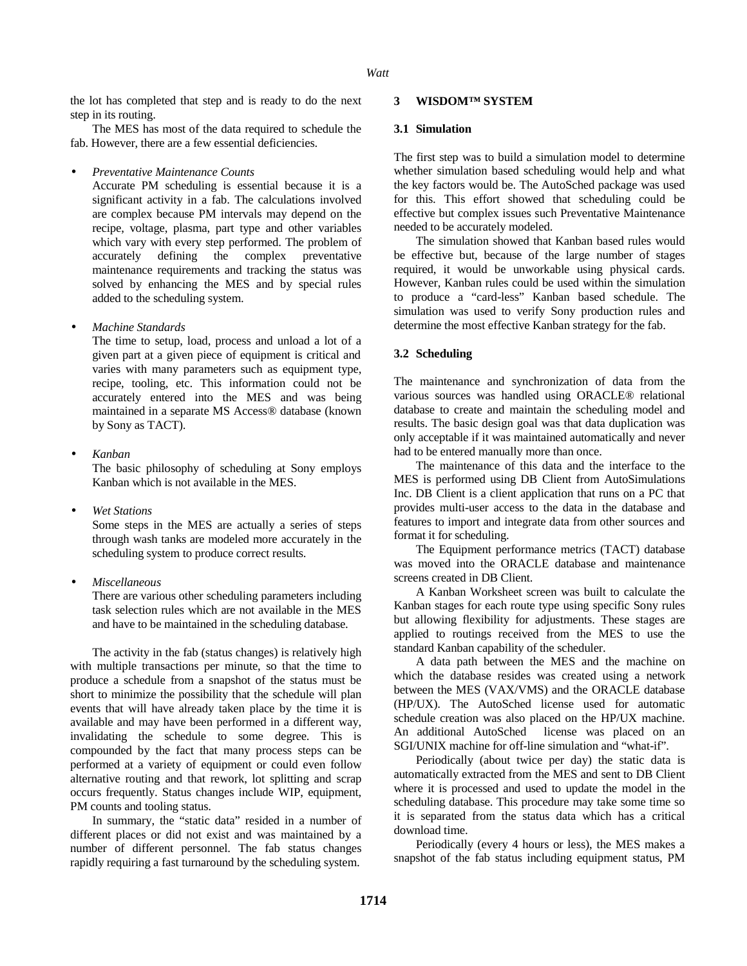the lot has completed that step and is ready to do the next step in its routing.

The MES has most of the data required to schedule the fab. However, there are a few essential deficiencies.

• *Preventative Maintenance Counts*

Accurate PM scheduling is essential because it is a significant activity in a fab. The calculations involved are complex because PM intervals may depend on the recipe, voltage, plasma, part type and other variables which vary with every step performed. The problem of accurately defining the complex preventative maintenance requirements and tracking the status was solved by enhancing the MES and by special rules added to the scheduling system.

• *Machine Standards*

The time to setup, load, process and unload a lot of a given part at a given piece of equipment is critical and varies with many parameters such as equipment type, recipe, tooling, etc. This information could not be accurately entered into the MES and was being maintained in a separate MS Access® database (known by Sony as TACT).

• *Kanban*

The basic philosophy of scheduling at Sony employs Kanban which is not available in the MES.

• *Wet Stations*

Some steps in the MES are actually a series of steps through wash tanks are modeled more accurately in the scheduling system to produce correct results.

• *Miscellaneous*

There are various other scheduling parameters including task selection rules which are not available in the MES and have to be maintained in the scheduling database.

The activity in the fab (status changes) is relatively high with multiple transactions per minute, so that the time to produce a schedule from a snapshot of the status must be short to minimize the possibility that the schedule will plan events that will have already taken place by the time it is available and may have been performed in a different way, invalidating the schedule to some degree. This is compounded by the fact that many process steps can be performed at a variety of equipment or could even follow alternative routing and that rework, lot splitting and scrap occurs frequently. Status changes include WIP, equipment, PM counts and tooling status.

In summary, the "static data" resided in a number of different places or did not exist and was maintained by a number of different personnel. The fab status changes rapidly requiring a fast turnaround by the scheduling system.

### **3 WISDOM™ SYSTEM**

#### **3.1 Simulation**

The first step was to build a simulation model to determine whether simulation based scheduling would help and what the key factors would be. The AutoSched package was used for this. This effort showed that scheduling could be effective but complex issues such Preventative Maintenance needed to be accurately modeled.

The simulation showed that Kanban based rules would be effective but, because of the large number of stages required, it would be unworkable using physical cards. However, Kanban rules could be used within the simulation to produce a "card-less" Kanban based schedule. The simulation was used to verify Sony production rules and determine the most effective Kanban strategy for the fab.

# **3.2 Scheduling**

The maintenance and synchronization of data from the various sources was handled using ORACLE® relational database to create and maintain the scheduling model and results. The basic design goal was that data duplication was only acceptable if it was maintained automatically and never had to be entered manually more than once.

The maintenance of this data and the interface to the MES is performed using DB Client from AutoSimulations Inc. DB Client is a client application that runs on a PC that provides multi-user access to the data in the database and features to import and integrate data from other sources and format it for scheduling.

The Equipment performance metrics (TACT) database was moved into the ORACLE database and maintenance screens created in DB Client.

A Kanban Worksheet screen was built to calculate the Kanban stages for each route type using specific Sony rules but allowing flexibility for adjustments. These stages are applied to routings received from the MES to use the standard Kanban capability of the scheduler.

A data path between the MES and the machine on which the database resides was created using a network between the MES (VAX/VMS) and the ORACLE database (HP/UX). The AutoSched license used for automatic schedule creation was also placed on the HP/UX machine. An additional AutoSched license was placed on an SGI/UNIX machine for off-line simulation and "what-if".

Periodically (about twice per day) the static data is automatically extracted from the MES and sent to DB Client where it is processed and used to update the model in the scheduling database. This procedure may take some time so it is separated from the status data which has a critical download time.

Periodically (every 4 hours or less), the MES makes a snapshot of the fab status including equipment status, PM